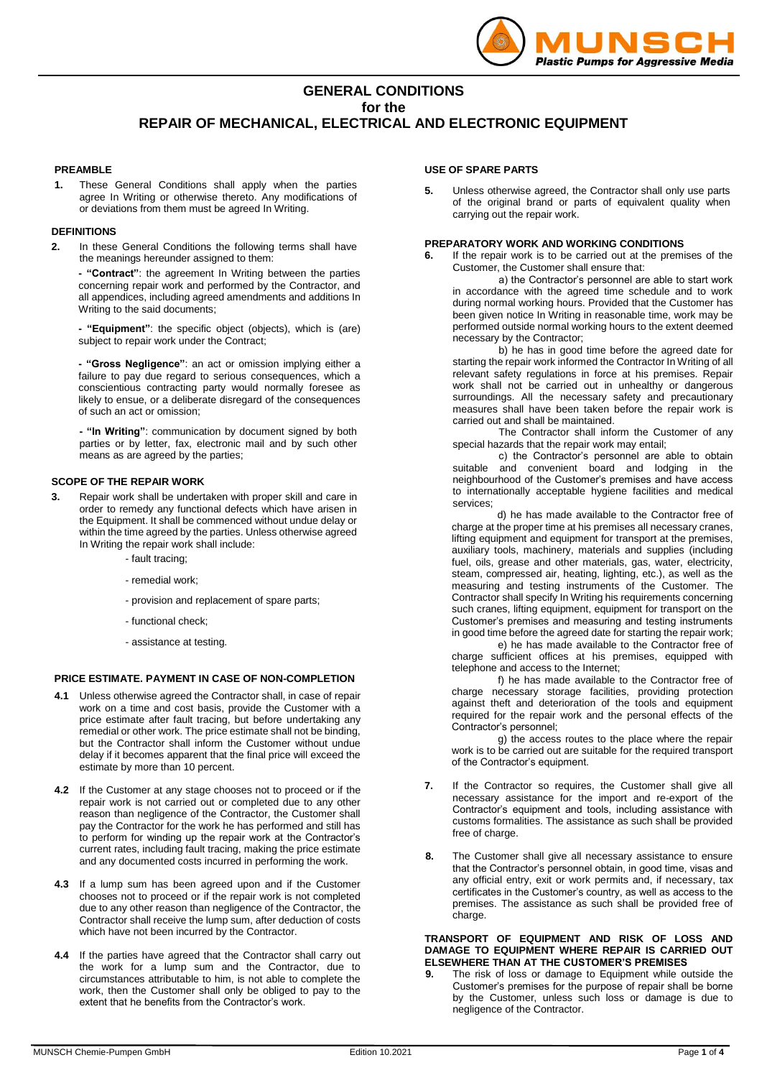

## **GENERAL CONDITIONS for the REPAIR OF MECHANICAL, ELECTRICAL AND ELECTRONIC EQUIPMENT**

## **PREAMBLE**

**1.** These General Conditions shall apply when the parties agree In Writing or otherwise thereto. Any modifications of or deviations from them must be agreed In Writing.

## **DEFINITIONS**

**2.** In these General Conditions the following terms shall have the meanings hereunder assigned to them:

**- "Contract"**: the agreement In Writing between the parties concerning repair work and performed by the Contractor, and all appendices, including agreed amendments and additions In Writing to the said documents;

**- "Equipment"**: the specific object (objects), which is (are) subject to repair work under the Contract;

**- "Gross Negligence"**: an act or omission implying either a failure to pay due regard to serious consequences, which a conscientious contracting party would normally foresee as likely to ensue, or a deliberate disregard of the consequences of such an act or omission;

**- "In Writing"**: communication by document signed by both parties or by letter, fax, electronic mail and by such other means as are agreed by the parties;

## **SCOPE OF THE REPAIR WORK**

**3.** Repair work shall be undertaken with proper skill and care in order to remedy any functional defects which have arisen in the Equipment. It shall be commenced without undue delay or within the time agreed by the parties. Unless otherwise agreed In Writing the repair work shall include:

- fault tracing;

- remedial work;
- provision and replacement of spare parts;
- functional check;
- assistance at testing.

## **PRICE ESTIMATE. PAYMENT IN CASE OF NON-COMPLETION**

- **4.1** Unless otherwise agreed the Contractor shall, in case of repair work on a time and cost basis, provide the Customer with a price estimate after fault tracing, but before undertaking any remedial or other work. The price estimate shall not be binding, but the Contractor shall inform the Customer without undue delay if it becomes apparent that the final price will exceed the estimate by more than 10 percent.
- **4.2** If the Customer at any stage chooses not to proceed or if the repair work is not carried out or completed due to any other reason than negligence of the Contractor, the Customer shall pay the Contractor for the work he has performed and still has to perform for winding up the repair work at the Contractor's current rates, including fault tracing, making the price estimate and any documented costs incurred in performing the work.
- **4.3** If a lump sum has been agreed upon and if the Customer chooses not to proceed or if the repair work is not completed due to any other reason than negligence of the Contractor, the Contractor shall receive the lump sum, after deduction of costs which have not been incurred by the Contractor.
- **4.4** If the parties have agreed that the Contractor shall carry out the work for a lump sum and the Contractor, due to circumstances attributable to him, is not able to complete the work, then the Customer shall only be obliged to pay to the extent that he benefits from the Contractor's work.

### **USE OF SPARE PARTS**

**5.** Unless otherwise agreed, the Contractor shall only use parts of the original brand or parts of equivalent quality when carrying out the repair work.

## **PREPARATORY WORK AND WORKING CONDITIONS**

**6.** If the repair work is to be carried out at the premises of the Customer, the Customer shall ensure that:

a) the Contractor's personnel are able to start work in accordance with the agreed time schedule and to work during normal working hours. Provided that the Customer has been given notice In Writing in reasonable time, work may be performed outside normal working hours to the extent deemed necessary by the Contractor;

b) he has in good time before the agreed date for starting the repair work informed the Contractor In Writing of all relevant safety regulations in force at his premises. Repair work shall not be carried out in unhealthy or dangerous surroundings. All the necessary safety and precautionary measures shall have been taken before the repair work is carried out and shall be maintained.

The Contractor shall inform the Customer of any special hazards that the repair work may entail;

c) the Contractor's personnel are able to obtain suitable and convenient board and lodging in the neighbourhood of the Customer's premises and have access to internationally acceptable hygiene facilities and medical services;

d) he has made available to the Contractor free of charge at the proper time at his premises all necessary cranes, lifting equipment and equipment for transport at the premises, auxiliary tools, machinery, materials and supplies (including fuel, oils, grease and other materials, gas, water, electricity, steam, compressed air, heating, lighting, etc.), as well as the measuring and testing instruments of the Customer. The Contractor shall specify In Writing his requirements concerning such cranes, lifting equipment, equipment for transport on the Customer's premises and measuring and testing instruments in good time before the agreed date for starting the repair work;

e) he has made available to the Contractor free of charge sufficient offices at his premises, equipped with telephone and access to the Internet;

f) he has made available to the Contractor free of charge necessary storage facilities, providing protection against theft and deterioration of the tools and equipment required for the repair work and the personal effects of the Contractor's personnel;

g) the access routes to the place where the repair work is to be carried out are suitable for the required transport of the Contractor's equipment.

- **7.** If the Contractor so requires, the Customer shall give all necessary assistance for the import and re-export of the Contractor's equipment and tools, including assistance with customs formalities. The assistance as such shall be provided free of charge.
- **8.** The Customer shall give all necessary assistance to ensure that the Contractor's personnel obtain, in good time, visas and any official entry, exit or work permits and, if necessary, tax certificates in the Customer's country, as well as access to the premises. The assistance as such shall be provided free of charge.

### **TRANSPORT OF EQUIPMENT AND RISK OF LOSS AND DAMAGE TO EQUIPMENT WHERE REPAIR IS CARRIED OUT ELSEWHERE THAN AT THE CUSTOMER'S PREMISES**

**9.** The risk of loss or damage to Equipment while outside the Customer's premises for the purpose of repair shall be borne by the Customer, unless such loss or damage is due to negligence of the Contractor.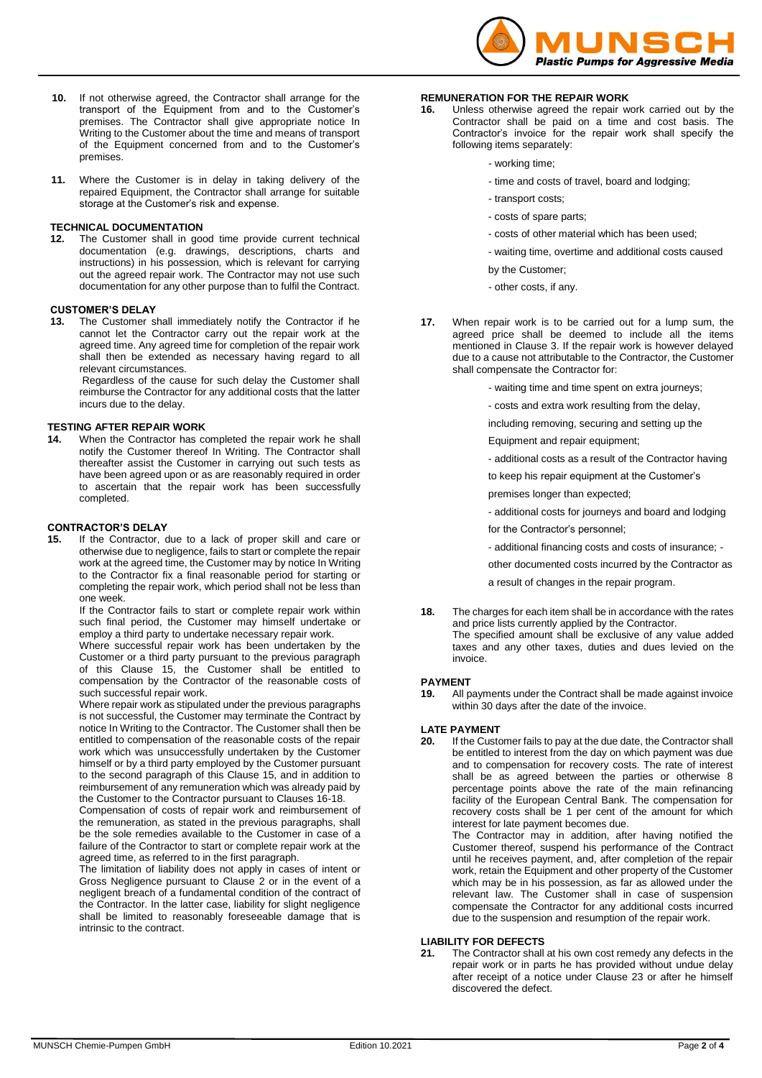

- **10.** If not otherwise agreed, the Contractor shall arrange for the transport of the Equipment from and to the Customer's premises. The Contractor shall give appropriate notice In Writing to the Customer about the time and means of transport of the Equipment concerned from and to the Customer's premises.
- **11.** Where the Customer is in delay in taking delivery of the repaired Equipment, the Contractor shall arrange for suitable storage at the Customer's risk and expense.

## **TECHNICAL DOCUMENTATION**

**12.** The Customer shall in good time provide current technical documentation (e.g. drawings, descriptions, charts and instructions) in his possession, which is relevant for carrying out the agreed repair work. The Contractor may not use such documentation for any other purpose than to fulfil the Contract.

### **CUSTOMER'S DELAY**

**13.** The Customer shall immediately notify the Contractor if he cannot let the Contractor carry out the repair work at the agreed time. Any agreed time for completion of the repair work shall then be extended as necessary having regard to all relevant circumstances.

 Regardless of the cause for such delay the Customer shall reimburse the Contractor for any additional costs that the latter incurs due to the delay.

# **TESTING AFTER REPAIR WORK**<br>**14.** When the Contractor has complete

**14.** When the Contractor has completed the repair work he shall notify the Customer thereof In Writing. The Contractor shall thereafter assist the Customer in carrying out such tests as have been agreed upon or as are reasonably required in order to ascertain that the repair work has been successfully completed.

# **CONTRACTOR'S DELAY**<br>**15.** If the Contractor, or

**15.** If the Contractor, due to a lack of proper skill and care or otherwise due to negligence, fails to start or complete the repair work at the agreed time, the Customer may by notice In Writing to the Contractor fix a final reasonable period for starting or completing the repair work, which period shall not be less than one week.

 If the Contractor fails to start or complete repair work within such final period, the Customer may himself undertake or employ a third party to undertake necessary repair work.

 Where successful repair work has been undertaken by the Customer or a third party pursuant to the previous paragraph of this Clause 15, the Customer shall be entitled to compensation by the Contractor of the reasonable costs of such successful repair work.

Where repair work as stipulated under the previous paragraphs is not successful, the Customer may terminate the Contract by notice In Writing to the Contractor. The Customer shall then be entitled to compensation of the reasonable costs of the repair work which was unsuccessfully undertaken by the Customer himself or by a third party employed by the Customer pursuant to the second paragraph of this Clause 15, and in addition to reimbursement of any remuneration which was already paid by the Customer to the Contractor pursuant to Clauses 16-18.

Compensation of costs of repair work and reimbursement of the remuneration, as stated in the previous paragraphs, shall be the sole remedies available to the Customer in case of a failure of the Contractor to start or complete repair work at the agreed time, as referred to in the first paragraph.

The limitation of liability does not apply in cases of intent or Gross Negligence pursuant to Clause 2 or in the event of a negligent breach of a fundamental condition of the contract of the Contractor. In the latter case, liability for slight negligence shall be limited to reasonably foreseeable damage that is intrinsic to the contract.

## **REMUNERATION FOR THE REPAIR WORK**

- **16.** Unless otherwise agreed the repair work carried out by the Contractor shall be paid on a time and cost basis. The Contractor's invoice for the repair work shall specify the following items separately:
	- working time;
	- time and costs of travel, board and lodging;
	- transport costs;
	- costs of spare parts;
	- costs of other material which has been used;
	- waiting time, overtime and additional costs caused
	- by the Customer;
	- other costs, if any.
- **17.** When repair work is to be carried out for a lump sum, the agreed price shall be deemed to include all the items mentioned in Clause 3. If the repair work is however delayed due to a cause not attributable to the Contractor, the Customer shall compensate the Contractor for:
	- waiting time and time spent on extra journeys;
	- costs and extra work resulting from the delay,
	- including removing, securing and setting up the
	- Equipment and repair equipment;
	- additional costs as a result of the Contractor having
	- to keep his repair equipment at the Customer's
	- premises longer than expected;
	- additional costs for journeys and board and lodging for the Contractor's personnel:
	- additional financing costs and costs of insurance; -

other documented costs incurred by the Contractor as

a result of changes in the repair program.

**18.** The charges for each item shall be in accordance with the rates and price lists currently applied by the Contractor. The specified amount shall be exclusive of any value added taxes and any other taxes, duties and dues levied on the invoice.

# **PAYMENT**<br>19. All n

**19.** All payments under the Contract shall be made against invoice within 30 days after the date of the invoice.

## **LATE PAYMENT**<br>**20.** If the Custo

**20.** If the Customer fails to pay at the due date, the Contractor shall be entitled to interest from the day on which payment was due and to compensation for recovery costs. The rate of interest shall be as agreed between the parties or otherwise 8 percentage points above the rate of the main refinancing facility of the European Central Bank. The compensation for recovery costs shall be 1 per cent of the amount for which interest for late payment becomes due.

The Contractor may in addition, after having notified the Customer thereof, suspend his performance of the Contract until he receives payment, and, after completion of the repair work, retain the Equipment and other property of the Customer which may be in his possession, as far as allowed under the relevant law. The Customer shall in case of suspension compensate the Contractor for any additional costs incurred due to the suspension and resumption of the repair work.

### **LIABILITY FOR DEFECTS**

**21.** The Contractor shall at his own cost remedy any defects in the repair work or in parts he has provided without undue delay after receipt of a notice under Clause 23 or after he himself discovered the defect.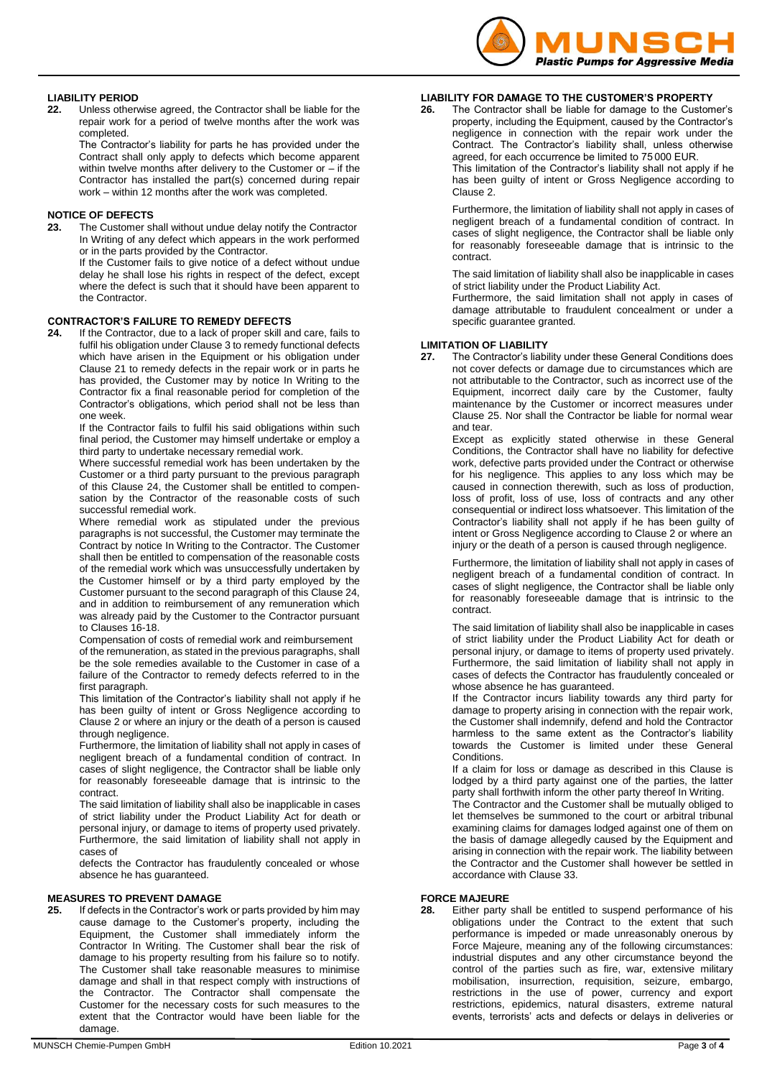

## **LIABILITY PERIOD**

**22.** Unless otherwise agreed, the Contractor shall be liable for the repair work for a period of twelve months after the work was completed.

The Contractor's liability for parts he has provided under the Contract shall only apply to defects which become apparent within twelve months after delivery to the Customer or  $-$  if the Contractor has installed the part(s) concerned during repair work – within 12 months after the work was completed.

## **NOTICE OF DEFECTS**

**23.** The Customer shall without undue delay notify the Contractor In Writing of any defect which appears in the work performed or in the parts provided by the Contractor.

If the Customer fails to give notice of a defect without undue delay he shall lose his rights in respect of the defect, except where the defect is such that it should have been apparent to the Contractor.

## **CONTRACTOR'S FAILURE TO REMEDY DEFECTS**

**24.** If the Contractor, due to a lack of proper skill and care, fails to fulfil his obligation under Clause 3 to remedy functional defects which have arisen in the Equipment or his obligation under Clause 21 to remedy defects in the repair work or in parts he has provided, the Customer may by notice In Writing to the Contractor fix a final reasonable period for completion of the Contractor's obligations, which period shall not be less than one week.

If the Contractor fails to fulfil his said obligations within such final period, the Customer may himself undertake or employ a third party to undertake necessary remedial work.

Where successful remedial work has been undertaken by the Customer or a third party pursuant to the previous paragraph of this Clause 24, the Customer shall be entitled to compensation by the Contractor of the reasonable costs of such successful remedial work.

Where remedial work as stipulated under the previous paragraphs is not successful, the Customer may terminate the Contract by notice In Writing to the Contractor. The Customer shall then be entitled to compensation of the reasonable costs of the remedial work which was unsuccessfully undertaken by the Customer himself or by a third party employed by the Customer pursuant to the second paragraph of this Clause 24, and in addition to reimbursement of any remuneration which was already paid by the Customer to the Contractor pursuant to Clauses 16-18.

Compensation of costs of remedial work and reimbursement of the remuneration, as stated in the previous paragraphs, shall be the sole remedies available to the Customer in case of a failure of the Contractor to remedy defects referred to in the first paragraph.

This limitation of the Contractor's liability shall not apply if he has been guilty of intent or Gross Negligence according to Clause 2 or where an injury or the death of a person is caused through negligence.

Furthermore, the limitation of liability shall not apply in cases of negligent breach of a fundamental condition of contract. In cases of slight negligence, the Contractor shall be liable only for reasonably foreseeable damage that is intrinsic to the contract.

The said limitation of liability shall also be inapplicable in cases of strict liability under the Product Liability Act for death or personal injury, or damage to items of property used privately. Furthermore, the said limitation of liability shall not apply in cases of

defects the Contractor has fraudulently concealed or whose absence he has guaranteed.

## **MEASURES TO PREVENT DAMAGE**

**25.** If defects in the Contractor's work or parts provided by him may cause damage to the Customer's property, including the Equipment, the Customer shall immediately inform the Contractor In Writing. The Customer shall bear the risk of damage to his property resulting from his failure so to notify. The Customer shall take reasonable measures to minimise damage and shall in that respect comply with instructions of the Contractor. The Contractor shall compensate the Customer for the necessary costs for such measures to the extent that the Contractor would have been liable for the damage.

## **LIABILITY FOR DAMAGE TO THE CUSTOMER'S PROPERTY**

**26.** The Contractor shall be liable for damage to the Customer's property, including the Equipment, caused by the Contractor's negligence in connection with the repair work under the Contract. The Contractor's liability shall, unless otherwise agreed, for each occurrence be limited to 75 000 EUR.

This limitation of the Contractor's liability shall not apply if he has been guilty of intent or Gross Negligence according to Clause 2.

Furthermore, the limitation of liability shall not apply in cases of negligent breach of a fundamental condition of contract. In cases of slight negligence, the Contractor shall be liable only for reasonably foreseeable damage that is intrinsic to the contract.

The said limitation of liability shall also be inapplicable in cases of strict liability under the Product Liability Act.

Furthermore, the said limitation shall not apply in cases of damage attributable to fraudulent concealment or under a specific guarantee granted.

## **LIMITATION OF LIABILITY**

**27.** The Contractor's liability under these General Conditions does not cover defects or damage due to circumstances which are not attributable to the Contractor, such as incorrect use of the Equipment, incorrect daily care by the Customer, faulty maintenance by the Customer or incorrect measures under Clause 25. Nor shall the Contractor be liable for normal wear and tear.

Except as explicitly stated otherwise in these General Conditions, the Contractor shall have no liability for defective work, defective parts provided under the Contract or otherwise for his negligence. This applies to any loss which may be caused in connection therewith, such as loss of production, loss of profit, loss of use, loss of contracts and any other consequential or indirect loss whatsoever. This limitation of the Contractor's liability shall not apply if he has been guilty of intent or Gross Negligence according to Clause 2 or where an injury or the death of a person is caused through negligence.

Furthermore, the limitation of liability shall not apply in cases of negligent breach of a fundamental condition of contract. In cases of slight negligence, the Contractor shall be liable only for reasonably foreseeable damage that is intrinsic to the contract.

The said limitation of liability shall also be inapplicable in cases of strict liability under the Product Liability Act for death or personal injury, or damage to items of property used privately. Furthermore, the said limitation of liability shall not apply in cases of defects the Contractor has fraudulently concealed or whose absence he has guaranteed.

If the Contractor incurs liability towards any third party for damage to property arising in connection with the repair work, the Customer shall indemnify, defend and hold the Contractor harmless to the same extent as the Contractor's liability towards the Customer is limited under these General Conditions.

If a claim for loss or damage as described in this Clause is lodged by a third party against one of the parties, the latter party shall forthwith inform the other party thereof In Writing.

The Contractor and the Customer shall be mutually obliged to let themselves be summoned to the court or arbitral tribunal examining claims for damages lodged against one of them on the basis of damage allegedly caused by the Equipment and arising in connection with the repair work. The liability between the Contractor and the Customer shall however be settled in accordance with Clause 33.

### **FORCE MAJEURE**

**28.** Either party shall be entitled to suspend performance of his obligations under the Contract to the extent that such performance is impeded or made unreasonably onerous by Force Majeure, meaning any of the following circumstances: industrial disputes and any other circumstance beyond the control of the parties such as fire, war, extensive military mobilisation, insurrection, requisition, seizure, embargo, restrictions in the use of power, currency and export restrictions, epidemics, natural disasters, extreme natural events, terrorists' acts and defects or delays in deliveries or